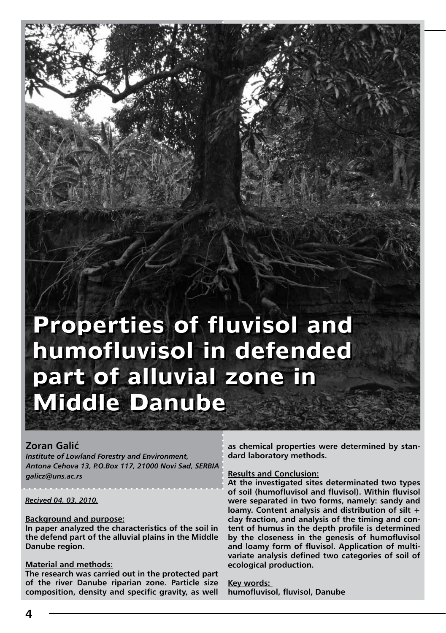# **Properties of fluvisol and Properties of fluvisol and humofluvisol in defended humofluvisol in defended part of alluvial zone in part of alluvial zone in Middle Danube Middle Danube**

#### **Zoran Galić**

Zoran Galić

*Institute of Lowland Forestry and Environment, Antona Cehova 13, P.O.Box 117, 21000 Novi Sad, SERBIA galicz@uns.ac.rs*

#### *Recived 04. 03. 2010.*

#### **Background and purpose:**

**In paper analyzed the characteristics of the soil in the defend part of the alluvial plains in the Middle Danube region.**

#### **Material and methods:**

**The research was carried out in the protected part of the river Danube riparian zone. Particle size composition, density and specific gravity, as well**  **as chemical properties were determined by standard laboratory methods.**

#### **Results and Conclusion:**

**At the investigated sites determinated two types of soil (humofluvisol and fluvisol). Within fluvisol were separated in two forms, namely: sandy and loamy. Content analysis and distribution of silt + clay fraction, and analysis of the timing and content of humus in the depth profile is determined by the closeness in the genesis of humofluvisol and loamy form of fluvisol. Application of multivariate analysis defined two categories of soil of ecological production.**

**Key words: humofluvisol, fluvisol, Danube**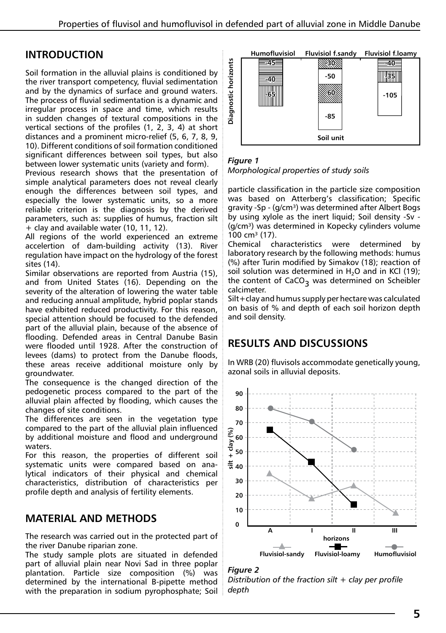# **Introduction**

Soil formation in the alluvial plains is conditioned by the river transport competency, fluvial sedimentation and by the dynamics of surface and ground waters. The process of fluvial sedimentation is a dynamic and irregular process in space and time, which results in sudden changes of textural compositions in the vertical sections of the profiles (1, 2, 3, 4) at short distances and a prominent micro-relief (5, 6, 7, 8, 9, 10). Different conditions of soil formation conditioned significant differences between soil types, but also between lower systematic units (variety and form).

Previous research shows that the presentation of simple analytical parameters does not reveal clearly enough the differences between soil types, and especially the lower systematic units, so a more reliable criterion is the diagnosis by the derived parameters, such as: supplies of humus, fraction silt + clay and available water (10, 11, 12).

All regions of the world experienced an extreme accelertion of dam-building activity (13). River regulation have impact on the hydrology of the forest sites (14).

Similar observations are reported from Austria (15), and from United States (16). Depending on the severity of the alteration of lowering the water table and reducing annual amplitude, hybrid poplar stands have exhibited reduced productivity. For this reason, special attention should be focused to the defended part of the alluvial plain, because of the absence of flooding. Defended areas in Central Danube Basin were flooded until 1928. After the construction of levees (dams) to protect from the Danube floods, these areas receive additional moisture only by groundwater.

The consequence is the changed direction of the pedogenetic process compared to the part of the alluvial plain affected by flooding, which causes the changes of site conditions.

The differences are seen in the vegetation type compared to the part of the alluvial plain influenced by additional moisture and flood and underground waters.

For this reason, the properties of different soil systematic units were compared based on analytical indicators of their physical and chemical characteristics, distribution of characteristics per profile depth and analysis of fertility elements.

# **Material and methods**

The research was carried out in the protected part of the river Danube riparian zone.

The study sample plots are situated in defended part of alluvial plain near Novi Sad in three poplar plantation. Particle size composition (%) was determined by the international B-pipette method with the preparation in sodium pyrophosphate; Soil



## *Figure 1*

particle classification in the particle size composition was based on Atterberg's classification; Specific gravity -Sp - (g/cm<sup>3</sup>) was determined after Albert Bogs by using xylole as the inert liquid; Soil density -Sv - (g/cm<sup>3</sup>) was determined in Kopecky cylinders volume 100 cm<sup>3</sup> (17).

Chemical characteristics were determined by laboratory research by the following methods: humus (%) after Turin modified by Simakov (18); reaction of soil solution was determined in  $H_2O$  and in KCl (19);<br>the contract of GCO the content of CaCO<sub>3</sub> was determined on Scheibler calcimeter.

Silt+clay and humus supply per hectare was calculated on basis of % and depth of each soil horizon depth and soil density.

# **RESULTS AND DISCUSSIONS**

In WRB (20) fluvisols accommodate genetically young, azonal soils in alluvial deposits.



## *Figure 2*

*Distribution of the fraction silt + clay per profile depth*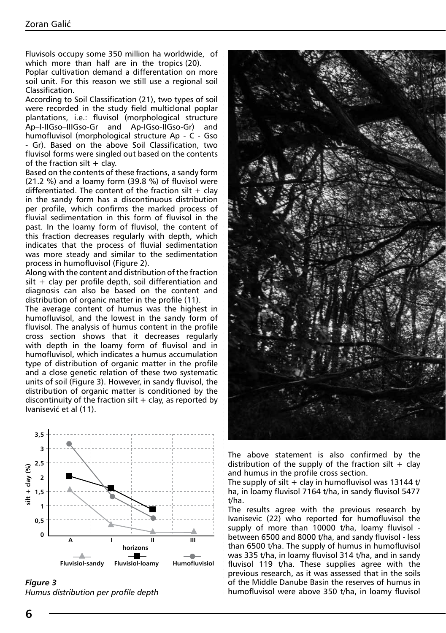Fluvisols occupy some 350 million ha worldwide, of which more than half are in the tropics (20).

Poplar cultivation demand a differentation on more soil unit. For this reason we still use a regional soil Classification.

According to Soil Classification (21), two types of soil were recorded in the study field multiclonal poplar plantations, i.e.: fluvisol (morphological structure Ap–I-IIGso–IIIGso-Gr and Ap-IGso-IIGso-Gr) and humofluvisol (morphological structure Ap - C - Gso - Gr). Based on the above Soil Classification, two fluvisol forms were singled out based on the contents of the fraction silt  $+$  clay.

Based on the contents of these fractions, a sandy form (21.2 %) and a loamy form (39.8 %) of fluvisol were differentiated. The content of the fraction silt  $+$  clay in the sandy form has a discontinuous distribution per profile, which confirms the marked process of fluvial sedimentation in this form of fluvisol in the past. In the loamy form of fluvisol, the content of this fraction decreases regularly with depth, which indicates that the process of fluvial sedimentation was more steady and similar to the sedimentation process in humofluvisol (Figure 2).

Along with the content and distribution of the fraction  $silt + clay$  per profile depth, soil differentiation and diagnosis can also be based on the content and distribution of organic matter in the profile (11).

The average content of humus was the highest in humofluvisol, and the lowest in the sandy form of fluvisol. The analysis of humus content in the profile cross section shows that it decreases regularly with depth in the loamy form of fluvisol and in humofluvisol, which indicates a humus accumulation type of distribution of organic matter in the profile and a close genetic relation of these two systematic units of soil (Figure 3). However, in sandy fluvisol, the distribution of organic matter is conditioned by the discontinuity of the fraction silt  $+$  clay, as reported by Ivanisević et al (11).



*Figure 3 Humus distribution per profile depth*



The above statement is also confirmed by the distribution of the supply of the fraction silt  $+$  clay and humus in the profile cross section.

The supply of silt  $+$  clay in humofluvisol was 13144 t/ ha, in loamy fluvisol 7164 t/ha, in sandy fluvisol 5477 t/ha.

The results agree with the previous research by Ivanisevic (22) who reported for humofluvisol the supply of more than 10000 t/ha, loamy fluvisol between 6500 and 8000 t/ha, and sandy fluvisol - less than 6500 t/ha. The supply of humus in humofluvisol was 335 t/ha, in loamy fluvisol 314 t/ha, and in sandy fluvisol 119 t/ha. These supplies agree with the previous research, as it was assessed that in the soils of the Middle Danube Basin the reserves of humus in humofluvisol were above 350 t/ha, in loamy fluvisol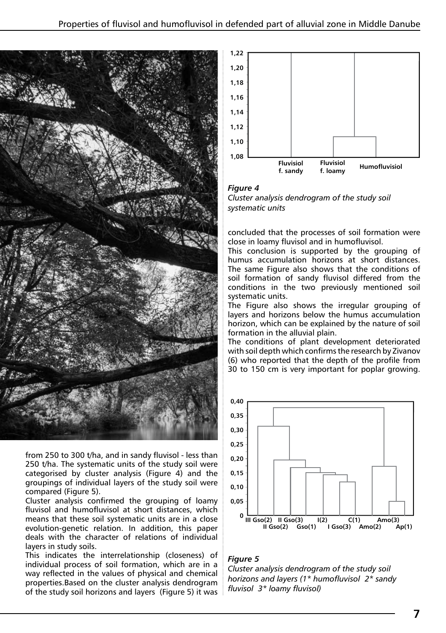

from 250 to 300 t/ha, and in sandy fluvisol - less than 250 t/ha. The systematic units of the study soil were categorised by cluster analysis (Figure 4) and the groupings of individual layers of the study soil were compared (Figure 5).

Cluster analysis confirmed the grouping of loamy fluvisol and humofluvisol at short distances, which means that these soil systematic units are in a close evolution-genetic relation. In addition, this paper deals with the character of relations of individual layers in study soils.

This indicates the interrelationship (closeness) of individual process of soil formation, which are in a way reflected in the values of physical and chemical properties.Based on the cluster analysis dendrogram of the study soil horizons and layers (Figure 5) it was



## *Figure 4*

*Cluster analysis dendrogram of the study soil systematic units*

concluded that the processes of soil formation were close in loamy fluvisol and in humofluvisol.

This conclusion is supported by the grouping of humus accumulation horizons at short distances. The same Figure also shows that the conditions of soil formation of sandy fluvisol differed from the conditions in the two previously mentioned soil systematic units.

The Figure also shows the irregular grouping of layers and horizons below the humus accumulation horizon, which can be explained by the nature of soil formation in the alluvial plain.

The conditions of plant development deteriorated with soil depth which confirms the research by Zivanov (6) who reported that the depth of the profile from 30 to 150 cm is very important for poplar growing.



## *Figure 5*

*Cluster analysis dendrogram of the study soil horizons and layers (1\* humofluvisol 2\* sandy fluvisol 3\* loamy fluvisol)*